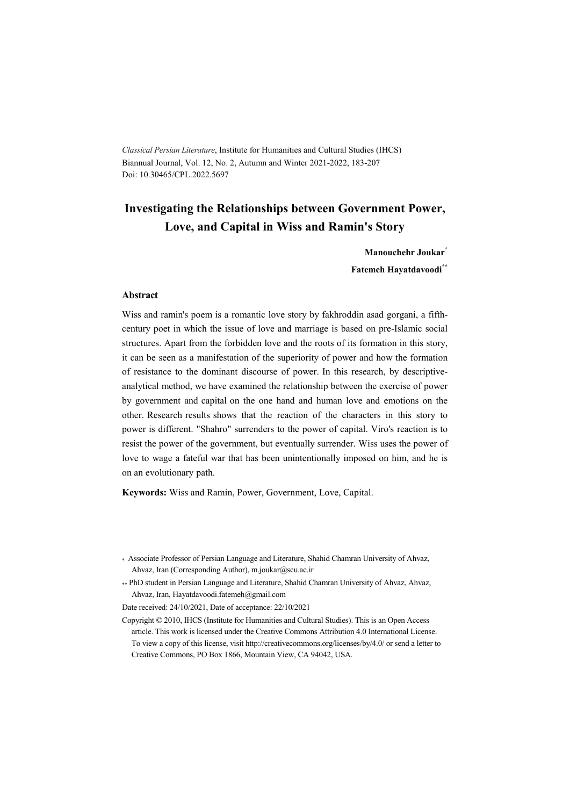*Classical Persian Literature*, Institute for Humanities and Cultural Studies (IHCS) Biannual Journal, Vol. 12, No. 2, Autumn and Winter 2021-2022, 183-207 Doi: 10.30465/CPL.2022.5697

# **Investigating the Relationships between Government Power, Love, and Capital in Wiss and Ramin's Story**

**Manouchehr Joukar\* Fatemeh Hayatdavoodi\*\***

#### **Abstract**

Wiss and ramin's poem is a romantic love story by fakhroddin asad gorgani, a fifthcentury poet in which the issue of love and marriage is based on pre-Islamic social structures. Apart from the forbidden love and the roots of its formation in this story, it can be seen as a manifestation of the superiority of power and how the formation of resistance to the dominant discourse of power. In this research, by descriptiveanalytical method, we have examined the relationship between the exercise of power by government and capital on the one hand and human love and emotions on the other. Research results shows that the reaction of the characters in this story to power is different. "Shahro" surrenders to the power of capital. Viro's reaction is to resist the power of the government, but eventually surrender. Wiss uses the power of love to wage a fateful war that has been unintentionally imposed on him, and he is on an evolutionary path.

**Keywords:** Wiss and Ramin, Power, Government, Love, Capital.

<sup>\*</sup> Associate Professor of Persian Language and Literature, Shahid Chamran University of Ahvaz, Ahvaz, Iran (Corresponding Author), m.joukar@scu.ac.ir

<sup>\*\*</sup> PhD student in Persian Language and Literature, Shahid Chamran University of Ahvaz, Ahvaz, Ahvaz, Iran, Hayatdavoodi.fatemeh@gmail.com

Date received: 24/10/2021, Date of acceptance: 22/10/2021

Copyright © 2010, IHCS (Institute for Humanities and Cultural Studies). This is an Open Access article. This work is licensed under the Creative Commons Attribution 4.0 International License. To view a copy of this license, visit http://creativecommons.org/licenses/by/4.0/ or send a letter to Creative Commons, PO Box 1866, Mountain View, CA 94042, USA.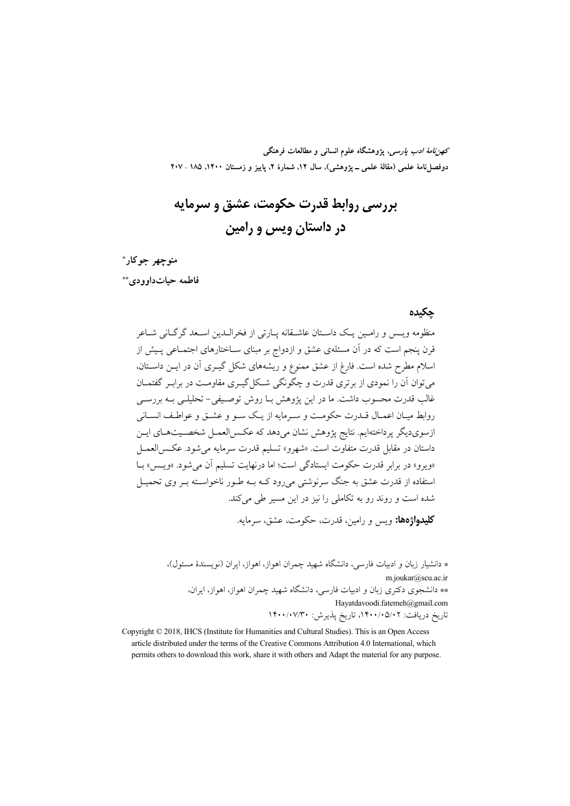*كهن نامهٔ ادب پارسی*، پژوهشگاه علوم انسانی و مطالعات فرهنگی دوفصلiامهٔ علمی (مقالهٔ علمی ــ یژوهشی)، سال ۱۲، شمارهٔ ۲، پاییز و زمستان ۱۴۰۰، ۱۸۵ ـ ۲۰۷

# بررسي روابط قدرت حكومت، عشق و سرمايه در داستان ویس و رامین

منوجهر جوكار\* فاطمه حيات داوو دي \*\*

#### حكىدە

منظومه ويــس و رامــين يــک داســتان عاشــقانه پــارتي از فخرالــدين اســعد گرگــاني شــاعر قرن پنجم است که در آن مسئلهی عشق و ازدواج بر مبنای ســاختارهای اجتمــاعی پــیش از اسلام مطرح شده است. فارغ از عشق ممنوع و ریشههای شکل گیـری آن در ایــن داســتان، می توان آن را نمودی از بر تری قدرت و چگونگی شــکل گیــری مقاومــت در برابـر گفتمــان غالب قدرت محسوب داشت. ما در این پژوهش بــا روش توصـیفی- تحلیلــی بــه بررســی روابط مبيان اعميال قيدرت حكومت ويسيرمايه از يبك سبو و عشيق و عواطيف انسياني ازسويديگر پرداختهايم. نتايج پژوهش نشان مىدهد كه عكس العمـل شخصـيتهـاي ايـن داستان در مقابل قدرت متفاوت است. «شهرو» تسليم قدرت سرمايه مي شود. عكس العمــل «ويوو» در برابر قدرت حكومت ايستادگي است؛ اما درنهايت تسليم آن مي شود. «ويـس» بــا استفاده از قدرت عشق به جنگ سرنوشتی می رود کــه بــه طــور ناخواســته بــر وی تحمیــل شده است و روند رو به تکاملی را نیز در این مسیر طی می کند.

**کليدواژهها:** ويس و رامين، قدرت، حکومت، عشق، سرمايه.

\* دانشیار زبان و ادبیات فارسی، دانشگاه شهید چمران اهواز، اهواز، ایران (نویسندهٔ مسئول)، m.joukar@scu.ac.ir \*\* دانشجوی دکتری زبان و ادبیات فارسی، دانشگاه شهید چمران اهواز، اهواز، ایران، Hayatdavoodi.fatemeh@gmail.com تاريخ دريافت: ٠/٥/٠١٩/٠٥/١٣٠، تاريخ پذيرش: ١۴٠٠/٠٧/٣٠

Copyright © 2018, IHCS (Institute for Humanities and Cultural Studies). This is an Open Access article distributed under the terms of the Creative Commons Attribution 4.0 International, which permits others to download this work, share it with others and Adapt the material for any purpose.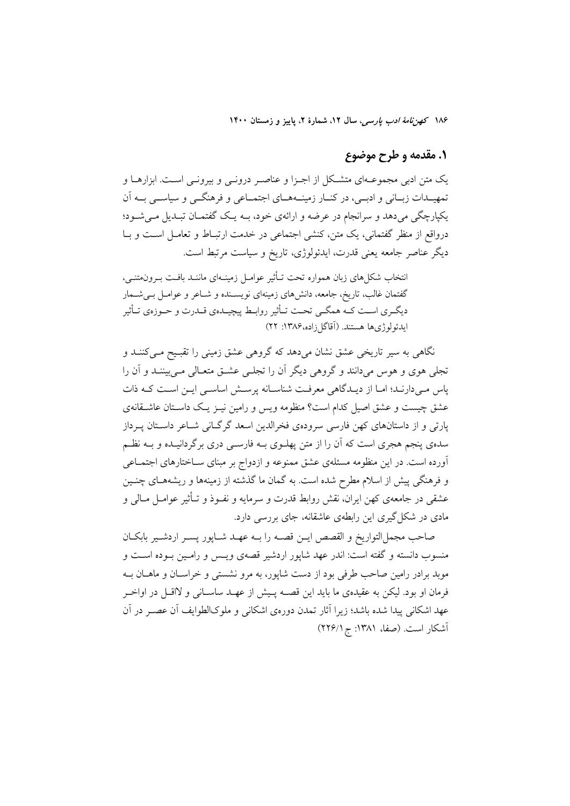# ۱. مقدمه و طرح موضوع

یک متن ادبی مجموعــهای متشــکل از اجــزا و عناصــر درونــی و بیرونــی اســت. ابزارهــا و تمهیــدات زبــانی و ادبــی، در کنــار زمینــههــای اجتمــاعی و فرهنگــی و سیاســی بــه آن یکپارچگی میدهد و سرانجام در عرضه و ارائهی خود، بـه یـک گفتمـان تبـدیل مـیشـود؛ درواقع از منظر گفتمانی، یک متن، کنشی اجتماعی در خدمت ارتبـاط و تعامـل اسـت و بـا دیگر عناصر جامعه یعنی قدرت، ایدئولوژی، تاریخ و سیاست مرتبط است.

انتخاب شکلهای زبان همواره تحت تـأثیر عوامـل زمینـهای ماننـد بافـت بـرون¤تنـی، گفتمان غالب، تاریخ، جامعه، دانشهای زمینهای نویسـنده و شــاعر و عوامــل بــیشــمار دیگـري اسـت كــه همگــي تحــت تــأثير روابــط پيچيــدهي قــدرت و حــوزهي تــأثير ايدئولوژيها هستند. (اَقاگلزاده،۱۳۸۶: ۲۲)

.<br>نگاهی به سیر تاریخی عشق نشان میدهد که گروهی عشق زمینی را تقبیح مــیکننــد و تجلی هوی و هوس میدانند و گروهی دیگر آن را تجلبی عشـق متعـالی مـیبیننـد و آن را یاس مے دارنـد؛ امـا از دیـدگاهی معرفـت شناسـانه پرسـش اساسـی ایـن اسـت کـه ذات عشق چیست و عشق اصیل کدام است؟ منظومه ویس و رامین نیـز یـک داسـتان عاشـقانهی پارتی و از داستانهای کهن فارسی سرودهی فخرالدین اسعد گرگـانی شـاعر داسـتان پـرداز سدهی پنجم هجری است که آن را از متن پهلـوی بــه فارســی دری برگردانیــده و بــه نظــم آورده است. در این منظومه مسئلهی عشق ممنوعه و ازدواج بر مبنای سـاختارهای اجتمـاعی و فرهنگی پیش از اسلام مطرح شده است. به گمان ما گذشته از زمینهها و ریشههـای چنـین عشقی در جامعهی کهن ایران، نقش روابط قدرت و سرمایه و نفـوذ و تـأثیر عوامـل مـالی و مادی در شکل گیری این رابطهی عاشقانه، جای بررسی دارد.

صاحب مجمل|لتواريخ و القصص ايــن قصــه را بــه عهــد شــاپور پســر اردشــير بابكــان منسوب دانسته و گفته است: اندر عهد شاپور اردشیر قصهی ویـس و رامـین بـوده اسـت و موبد برادر رامین صاحب طرفی بود از دست شاپور، به مرو نشستی و خراسـان و ماهــان بــه فرمان او بود. ليكن به عقيدهي ما بايد اين قصــه پـيش از عهــد ساســاني و لااقــل در اواخــر عهد اشکانی پیدا شده باشد؛ زیرا آثار تمدن دورهی اشکانی و ملوکالطوایف آن عصـر در آن آشکار است. (صفا، ۱۳۸۱: ج ۲۲۶/۱)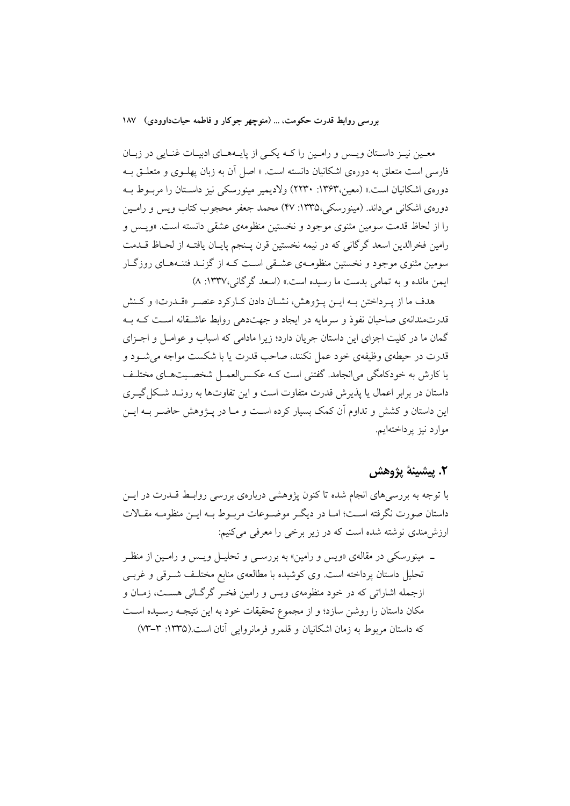معـین نیـز داسـتان ویـس و رامـین را کـه یکـی از پایـههـای ادبیـات غنـایی در زبـان فارسی است متعلق به دورهی اشکانیان دانسته است. « اصل آن به زبان یهلـوی و متعلـق بـه دورهي اشكانيان است.» (معين،١٣۶٣: ١٣٣٠) ولاديمير مينورسكي نيز داسـتان را مربـوط بـه دورهي اشكاني مي داند. (مينورسكي،١٣٣٥: ۴۷) محمد جعفر محجوب كتاب ويس و رامـين را از لحاظ قدمت سومین مثنوی موجود و نخستین منظومهی عشقی دانسته است. «ویس و رامين فخرالدين اسعد گرگاني كه در نيمه نخستين قرن پـنجم پايـان يافتـه از لحـاظ قــدمت سومین مثنوی موجود و نخستین منظومـهی عشـقی اسـت کـه از گزنـد فتنـههـای روزگـار ايمن مانده و به تمامي بدست ما رسيده است.» (اسعد گرگاني،۱۳۳۷: ۸)

هدف ما از يـرداختن بـه ايــن پــژوهش، نشــان دادن كــاركرد عنصـر «قــدرت» و كــنش قدرتمندانهی صاحبان نفوذ و سرمایه در ایجاد و جهتدهی روابط عاشیقانه است کیه بیه گمان ما در کلیت اجزای این داستان جریان دارد؛ زیرا مادامی که اسباب و عوامـل و اجـزای قدرت در حیطهی وظیفهی خود عمل نکنند، صاحب قدرت یا یا شکست مواجه می شـود و یا کارش به خودکامگی می|نجامد. گفتنی است کــه عکــس|لعمــل شخصــیتهــای مختلــف داستان در برابر اعمال یا پذیرش قدرت متفاوت است و این تفاوتها به رونـد شـكل گیــری این داستان و کشش و تداوم آن کمک بسیار کرده است و مـا در پـژوهش حاضـر بـه ایـن موارد نيز پرداختهايم.

### ٢. پيشينۀ پژوهش

با توجه به بررسیهای انجام شده تا کنون پژوهشی دربارهی بررسی روابـط قــدرت در ایــن داستان صورت نگرفته اسـت؛ امـا در ديگـر موضــوعات مربــوط بــه ايــن منظومــه مقــالات ارزش،مندی نوشته شده است که در زیر برخی را معرفی میکنیم:

ـ مینورسکی در مقالهی «ویس و رامین» به بررســی و تحلیــل ویــس و رامــین از منظــر تحلیل داستان پرداخته است. وی کوشیده با مطالعهی منابع مختلـف شــرقی و غربــی ازجمله اشاراتی که در خود منظومهی ویس و رامین فخـر گرگـانی هسـت، زمـان و مکان داستان را روشن سازد؛ و از مجموع تحقیقات خود به این نتیجـه رسـیده اسـت که داستان مربوط به زمان اشکانیان و قلمرو فرمانروایی آنان است.(۱۳۳۵: ۳–۷۳)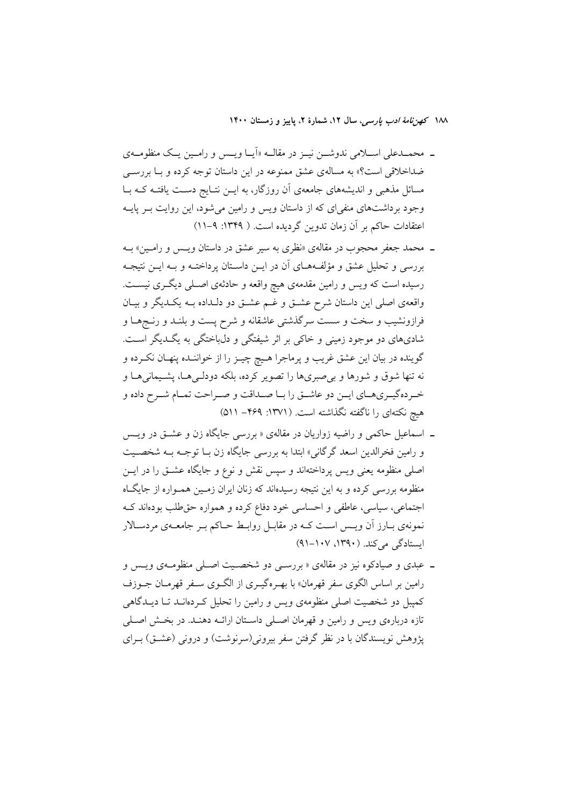- ـ محمــدعلي اســلامي ندوشــن نيــز در مقالــه «اَيــا ويــس و رامــين يــک منظومــهي ضداخلاقی است؟» به مسالهی عشق ممنوعه در این داستان توجه کرده و بــا بررســی مسائل مذهبی و اندیشههای جامعهی آن روزگار، به ایـن نتـایج دسـت یافتـه کـه بـا وجود برداشتهای منفیای که از داستان ویس و رامین می شود، این روایت بـر پایــه اعتقادات حاکم بر آن زمان تدوین گردیده است. ( ۱۳۴۹: ۹-۱۱)
- ـ محمد جعفر محجوب در مقالهی «نظری به سیر عشق در داستان ویس و رامین» بـه بررسی و تحلیل عشق و مؤلفههـای آن در ایــن داسـتان پرداختـه و بـه ایــن نتیجـه رسیده است که ویس و رامین مقدمهی هیچ واقعه و حادثهی اصـلی دیگـری نیسـت. واقعهی اصلی این داستان شرح عشــق و غــم عشــق دو دلــداده بــه یکــدیگر و بیــان فرازونشیب و سخت و سست سرگذشتی عاشقانه و شرح پست و بلنـد و رنـجهـا و شادیهای دو موجود زمینی و خاکی بر اثر شیفتگی و دلباختگی به یگـدیگر اسـت. گوينده در بيان اين عشق غريب و پرماجرا هـيچ چيـز را از خواننـده پنهـان نكـرده و نه تنها شوق و شورها و برصبریها را تصویر کرده، بلکه دودلـیهـا، پشـیمانیهـا و خـردهگيـريهـاي ايـن دو عاشـق را بـا صـداقت و صـراحت تمـام شـرح داده و هیچ نکتهای را ناگفته نگذاشته است. (۱۳۷۱: ۴۶۹– ۵۱۱)
- ـ اسماعیل حاکمی و راضیه زواریان در مقالهی « بررسی جایگاه زن و عشــق در ویــس و رامين فخرالدين اسعد گرگاني» ابتدا به بررسي جايگاه زن بـا توجــه بــه شخصــيت اصلی منظومه یعنی ویس پرداختهاند و سپس نقش و نوع و جایگاه عشـق را در ایــن منظومه بررسی کرده و به این نتیجه رسیدهاند که زنان ایران زمـین همـواره از جایگـاه اجتماعی، سیاسی، عاطفی و احساسی خود دفاع کرده و همواره حق طلب بودهاند ک نمونهی بـارز آن ویـس اسـت کـه در مقابـل روابـط حـاکم بـر جامعـهی مردسـالار ایستادگی می کند. (۱۳۹۰، ۱۰۷-۹۱)
- ـ عبدي و صيادكوه نيز در مقالهي «بررسـي دو شخصـيت اصـلي منظومـهي ويـس و رامین بر اساس الگوی سفر قهرمان» با بهـرهگیـری از الگـوی سـفر قهرمـان جـوزف کمپیل دو شخصیت اصلی منظومهی ویس و رامین را تحلیل که دهانید تیا دیپدگاهی تازه دربارهی ویس و رامین و قهرمان اصلی داستان ارائـه دهنـد. در بخـش اصـلی یژوهش نویسندگان با در نظر گرفتن سفر بیرونی(سرنوشت) و درونی (عشـق) بـرای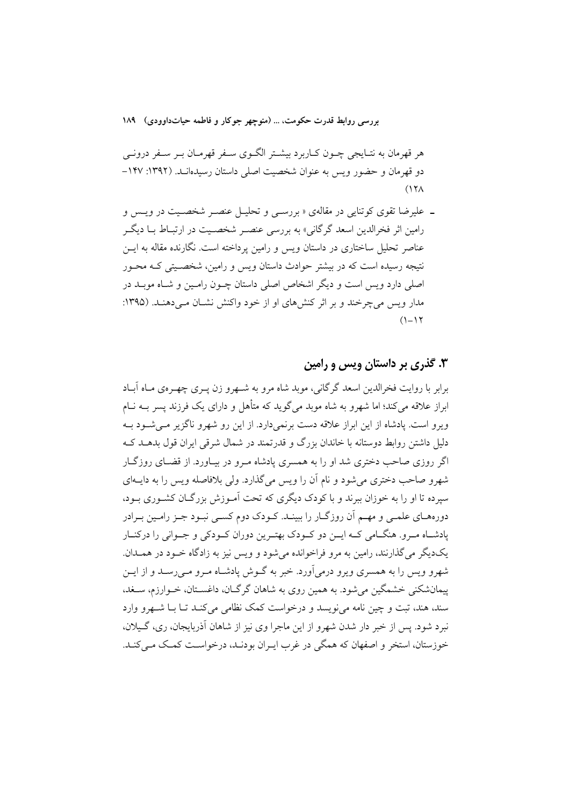هر قهرمان به نتـايجي چــون كــاربرد بيشــتر الگــوي ســفر قهرمــان بــر ســفر درونــي دو قهرمان و حضور ويس به عنوان شخصيت اصلي داستان رسيدهانـد. (١٣٩٢: ١٢٧- $(17<sub>A</sub>)$ 

ـ علیرضا تقوی کوتنایی در مقالهی «بررسـی و تحلیـل عنصـر شخصـیت در ویـس و رامین اثر فخرالدین اسعد گرگانی» به بررسی عنصـر شخصـیت در ارتبـاط بــا دیگــر عناصر تحلیل ساختاری در داستان ویس و رامین برداخته است. نگارنده مقاله به ایــن نتیجه رسیده است که در بیشتر حوادث داستان ویس و رامین، شخصـیتی کـه محـور اصلی دارد ویس است و دیگر اشخاص اصلی داستان چــون رامــین و شــاه موبــد در مدار ویس می چرخند و بر اثر کنش های او از خود واکنش نشـان مـی دهنـد. (۱۳۹۵:  $(1 - 17)$ 

# ۰۳ گذری بر داستان ویس و رامین

برابر با روایت فخرالدین اسعد گرگانی، موبد شاه مرو به شـهرو زن پــری چهــرهی مــاه آبــاد ابراز علاقه میکند؛ اما شهرو به شاه موبد میگوید که متأهل و دارای یک فرزند پسر بــه نــام ویرو است. یادشاه از این ابراز علاقه دست برنمی دارد. از این رو شهرو ناگزیر مبی شـود بـه دلیل داشتن روابط دوستانه با خاندان بزرگ و قدرتمند در شمال شرقی ایران قول بدهــد کــه اگر روزی صاحب دختری شد او را به همسری پادشاه مـرو در بیـاورد. از قضـای روزگـار شهرو صاحب دختري مي شود و نام آن را ويس مي گذارد. ولي پلافاصله ويس را به داسهاي سپرده تا او را به خوزان ببرند و با کودک دیگری که تحت آمـوزش بزرگــان کشـوری بــود، دورههـاي علمــي و مهــم اَن روزگــار را ببينــد. كــودک دوم کســي نبــود جــز رامــين بــرادر یادشـاه مـرو. هنگـامی کـه ایــن دو کــودک بهتـرین دوران کــودکی و جــوانی را درکنــار یکدیگر می گذارنند، رامین به مرو فراخوانده میشود و ویس نیز به زادگاه خـود در همـدان. شهرو ویس را به همسری ویرو درمی[ورد. خبر به گـوش یادشـاه مـرو مــی رسـد و از ایــن پیمانشکنی خشمگین میشود. به همین روی به شاهان گرگـان، داغسـتان، خــوارزم، ســغد، سند، هند، تبت و چین نامه می نویسد و درخواست کمک نظامی می کنـد تــا بــا شــهرو وارد نبرد شود. پس از خبر دار شدن شهرو از این ماجرا وی نیز از شاهان آذربایجان، ری، گـیلان، خوزستان، استخر و اصفهان كه همگی در غرب ايـران بودنـد، درخواسـت كمـك مـي كنـد.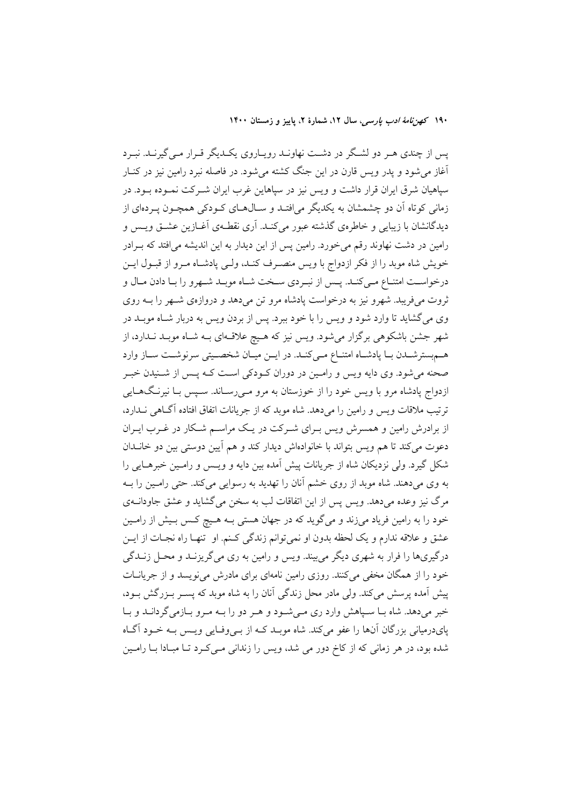یس از چندی هـر دو لشـگر در دشـت نهاونـد رویـاروی یکـدیگر قـرار مـی گیرنـد. نبـرد آغاز می شود و یدر ویس قارن در این جنگ کشته می شود. در فاصله نبرد رامین نیز در کنــار سپاهیان شرق ایران قرار داشت و ویس نیز در سپاهاین غرب ایران شـرکت نمـوده بـود. در زمانی کوتاه آن دو چشمشان به یکدیگر می افتـد و سـالهـای کـودکی همچـون پـردهای از دیدگانشان با زیبایی و خاطرهی گذشته عبور می کنـد. آری نقطـهی آغــازین عشــق ویــس و رامین در دشت نهاوند رقم می خورد. رامین پس از این دیدار به این اندیشه می افتد که بـرادر خویش شاه موبد را از فکر ازدواج با ویس منصـرف کنـد، ولـی پادشـاه مـرو از قبـول ایـن درخواسـت امتنــاع مــىکنــد. پــس از نبــردى ســخت شــاه موبــد شــهرو را بــا دادن مــال و ثروت میفریبد. شهرو نیز به درخواست پادشاه مرو تن میدهد و دروازهی شـهر را بـه روی وی میگشاید تا وارد شود و ویس را با خود ببرد. پس از بردن ویس به دربار شـاه موبـد در شهر جشن باشکوهی برگزار میشود. ویس نیز که هـیچ علاقـهای بـه شـاه موبـد نـدارد، از هـم بستر شــدن بــا يادشــاه امتنــاع مــى كنــد. در ايـــن ميــان شخصــيتى سرنوشــت ســاز وارد صحنه میشود. وی دایه ویس و رامین در دوران کـودکی اسـت کـه پـس از شـنیدن خبـر ازدواج پادشاه مرو با ویس خود را از خوزستان به مرو مـیرسـاند. سـپس بـا نیرنـگـهــایی ترتیب ملاقات ویس و رامین را میدهد. شاه موبد که از جریانات اتفاق افتاده آگـاهی نــدارد، از برادرش رامین و همسرش ویس بـرای شــرکت در یـک مراســم شــکار در غــرب ایــران دعوت می کند تا هم ویس بتواند با خانوادهاش دیدار کند و هم آیین دوستی بین دو خانــدان شکل گیرد. ولی نزدیکان شاه از جریانات پیش آمده بین دایه و ویـس و رامـین خبرهـایی را به وي مي دهند. شاه موبد از روي خشم آنان را تهديد به رسوايي مي كند. حتى رامين را بـه مرگ نیز وعده میدهد. ویس پس از این اتفاقات لب به سخن می گشاید و عشق جاودانــهی خود را به رامین فریاد میزند و میگوید که در جهان هستی بـه هـیچ کـس بـیش از رامـین عشق و علاقه ندارم و يک لحظه بدون او نمي توانم زندگي کـنم. او تنهـا راه نجـات از ايــن درگیریها را فرار به شهری دیگر میبیند. ویس و رامین به ری میگریزنــد و محــل زنــدگی خود را از همگان مخفی میکنند. روزی رامین نامهای برای مادرش می نویسد و از جریانــات یش آمده پرسش میکند. ولی مادر محل زندگی آنان را به شاه موید که پسیر ب(رگش بود، خبر میدهد. شاه بـا سـیاهش وارد ری مـیشـود و هـر دو را بـه مـرو بـازمی گردانـد و بـا یای درمیانی بزرگان آنها را عفو میکند. شاه موبـد کـه از بـبی وفـایی ویـس بـه خـود آگــاه شده بود، در هر زمانی که از کاخ دور می شد، ویس را زندانی مـیکـرد تـا مبـادا بـا رامـین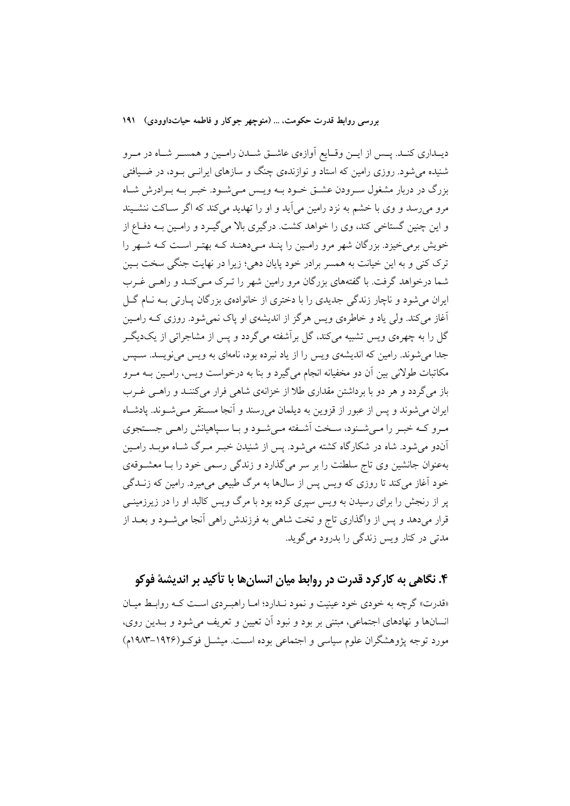دیــداری کنــد. پــس از ایــن وقــایع آوازهی عاشــق شــدن رامــین و همســر شــاه در مــرو شنیده می شود. روزی رامین که استاد و نوازندهی چنگ و سازهای ایرانــی بــود، در ضــیافتی بزرگ در دربار مشغول سـرودن عشـق خـود بـه ويـس مـىشـود. خبـر بـه بـرادرش شـاه مرو می رسد و وی با خشم به نزد رامین می آید و او را تهدید می کند که اگر سـاکت ننشـیند و این چنین گستاخی کند، وی را خواهد کشت. درگیری بالا می گیـرد و رامـین بــه دفــاع از خویش برمی خیزد. بزرگان شهر مرو رامین را پنـد مـی(هنـد کـه بهتـر اسـت کـه شـهر را ترک کنی و به این خیانت به همسر برادر خود پایان دهی؛ زیرا در نهایت جنگی سخت بـین شما درخواهد گرفت. با گفتههای بزرگان مرو رامین شهر را تـرک مـی کنـد و راهـی غـرب ایران می شود و ناچار زندگی جدیدی را با دختری از خانوادهی بزرگان پیارتی بـه نیام گیل آغاز می کند. ولی یاد و خاطرهی ویس هرگز از اندیشهی او پاک نمی شود. روزی کـه رامـین گل را به چهرهی ویس تشبیه میکند، گل برآشفته میگردد و پس از مشاجراتی از یکدیگـر جدا می شوند. رامین که اندیشهی ویس را از یاد نبرده بود، نامهای به ویس می نویسد. سـیس مکاتبات طولانی بین آن دو مخفیانه انجام می گیرد و بنا به درخواست ویس، رامـین بـه مـرو باز میگردد و هر دو با برداشتن مقداری طلا از خزانهی شاهی فرار میکننـد و راهـی غـرب ایران میشوند و پس از عبور از قزوین به دیلمان میرسند و آنجا مسـتقر مـیشـوند. پادشـاه مرو کـه خبـر را مـی شـنود، سـخت آشـفته مـی شـود و بـا سـیاهیانش راهـی جسـتجوی آندو می شود. شاه در شکارگاه کشته می شود. پس از شنیدن خب موگ شاه موبید رامین بهعنوان جانشین وی تاج سلطنت را بر سر میگذارد و زندگی رسمی خود را بـا معشــوقهی خود آغاز می کند تا روزی که ویس پس از سال&ا به مرگ طبیعی می میرد. رامین که زنــدگی پر از رنجش را برای رسیدن به ویس سپری کرده بود با مرگ ویس کالبد او را در زیرزمینــی قرار میدهد و پس از واگذاری تاج و تخت شاهی به فرزندش راهی آنجا میشــود و بعــد از مدتی در کنار ویس زندگی را بدرود میگوید.

# ۴. نگاهی به کارکرد قدرت در روابط میان انسان ها با تأکید بر اندیشهٔ فوکو

«قدرت» گرچه به خودی خود عینیت و نمود نــدارد؛ امــا راهبــردی اســت کــه روابــط میــان انسانها و نهادهای اجتماعی، مبتنی بر بود و نبود آن تعیین و تعریف میشود و بـدین روی، مورد توجه پژوهشگران علوم سیاسی و اجتماعی بوده است. میشــل فوکــو(۱۹۲۶–۱۹۸۳م)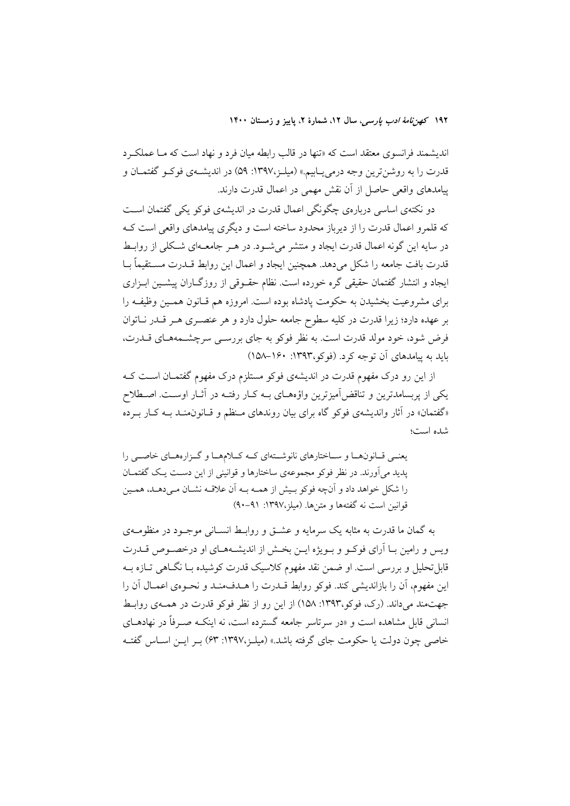اندیشمند فرانسوی معتقد است که «تنها در قالب رابطه میان فرد و نهاد است که مـا عملکـرد قدرت را به روشن ترین وجه درمی بـابیم.» (میلـز،۱۳۹۷: ۵۹) در اندیشــهی فوکـو گفتمـان و ييامدهاي واقعي حاصل از آن نقش مهمي در اعمال قدرت دارند.

دو نکتهی اساسی دربارهی چگونگی اعمال قدرت در اندیشهی فوکو یکی گفتمان است که قلمرو اعمال قدرت را از دیرباز محدود ساخته است و دیگری پیامدهای واقعی است ک در سایه این گونه اعمال قدرت ایجاد و منتشر می شـود. در هـر جامعـهای شـکلی از روابـط قدرت بافت جامعه را شکل می دهد. همچنین ایجاد و اعمال این روابط قــدرت مســتقیماً بــا ایجاد و انتشار گفتمان حقیقی گره خورده است. نظام حقـوقی از روزگــاران پیشــین ابـزاری برای مشروعیت بخشیدن به حکومت پادشاه بوده است. امروزه هم قـانون همـین وظیفـه را بر عهده دارد؛ زیرا قدرت در کلیه سطوح جامعه حلول دارد و هر عنصــری هــر قــدر نــاتوان فرض شود، خود مولد قدرت است. به نظر فوكو به جاي بررسـي سرچشــمههـاي قــدرت، بايد به پيامدهاي آن توجه كرد. (فوكو،١٣٩٣: ١٥٠-١٥٨)

از این رو درک مفهوم قدرت در اندیشهی فوکو مستلزم درک مفهوم گفتمـان اسـت کـه یکے از پریسامدترین و تناقض آمیزترین واؤ مھیای بے کیار رفتیہ در آثیار اوست. اصطلاح «گفتمان» در آثار واندیشهی فوکو گاه برای بیان روندهای مـنظم و قـانون0منـد بـه کـار بـرده شده است؛

یعنے قـانونهـا و سـاختارهاي نانوشـتهاي كـه كـلامهـا و گـزارههـاي خاصـي را پدید می آورند. در نظر فوکو مجموعهی ساختارها و قوانینی از این دست یک گفتمـان را شکل خواهد داد و آنچه فوکو بـیش از همـه بـه آن علاقـه نشـان مـیدهـد. همـین قوانين است نه گفتهها و متنها. (ميلز،١٣٩٧: ٩١-٩٠)

به گمان ما قدرت به مثابه یک سرمایه و عشـق و روابـط انسـانی موجـود در منظومـهی ویس و رامین بـا اَرای فوکــو و بــویژه ایــن بخــش از اندیشــههــای او درخصــوص قــدرت قابل تحلیل و بررسی است. او ضمن نقد مفهوم کلاسیک قدرت کوشیده بــا نگــاهی تــازه بــه این مفهوم، أن را بازاندیشی کند. فوکو روابط قــدرت را هــدفمنــد و نحــوهی اعمــال أن را جهت مند می داند. (رک، فوکو،۱۳۹۳: ۱۵۸) از این رو از نظر فوکو قدرت در همـهی روابـط انسانی قابل مشاهده است و «در سرتاسر جامعه گسترده است، نه اینکـه صـرفاً در نهادهــای خاصی چون دولت یا حکومت جای گرفته باشد.» (میلـز،۱۳۹۷: ۶۳) بـر ایــن اســاس گفتــه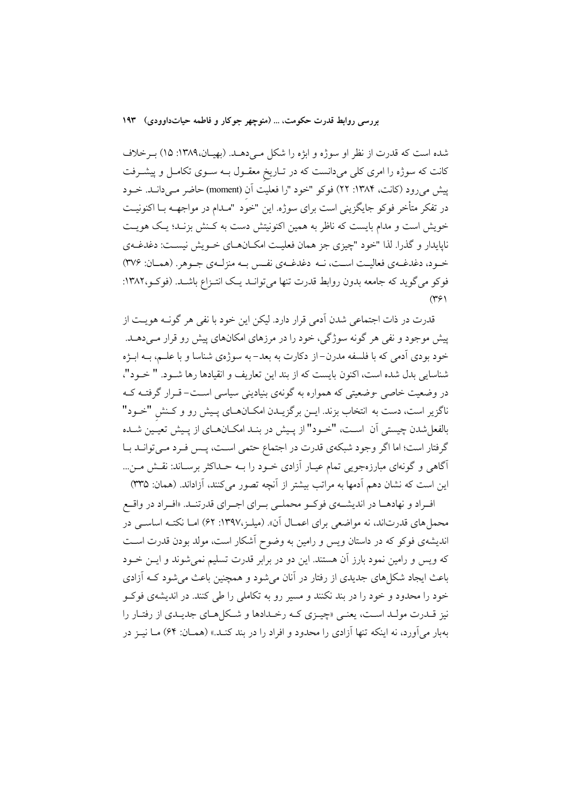شده است که قدرت از نظر او سوژه و ابزه را شکل مـیدهـد. (بهیـان،۱۳۸۹: ۱۵) بـرخلاف کانت که سوژه را امری کلی میدانست که در تـاریخ معقـول بـه سـوی تکامـل و پیشـرفت پیش میرود (کانت، ۱۳۸۴: ۲۲) فوکو "خود "را فعلیت آن (moment) حاضر مـیدانـد. خــود در تفکر متأخر فوکو جایگزینی است برای سوژه. این "خوّد "مــدام در مواجهــه بــا اکنونیــت خویش است و مدام بایست که ناظر به همین اکنونیتش دست به کـنش بزنـد؛ یـک هویـت ناپایدار و گذرا. لذا "خود "چیزی جز همان فعلیت امکـانهـای خـویش نیسـت: دغدغـهی خـود، دغدغـهي فعاليـت اسـت، نـه دغدغـهي نفـس بـه منزلـهي جـوهر. (همـان: ٣٧۶) فوکو می گوید که جامعه بدون روابط قدرت تنها می توانــد یــک انتــزاع باشــد. (فوکــو،۱۳۸۲:  $(\Upsilon \xi)$ 

قدرت در ذات اجتماعی شدن آدمی قرار دارد. لیکن این خود با نفی هر گونــه هویــت از پیش موجود و نفی هر گونه سوژگی، خود را در مرزهای امکانهای پیش رو قرار مـیدهــد. خود بودی اَدمی که با فلسفه مدرن–از دکارت به بعد–به سوژهی شناسا و با علــم، بــه ابــژه شناسایی بدل شده است، اکنون بایست که از بند این تعاریف و انقیادها رها شـود. " خـود"، در وضعیت خاصی -وضعیتی که همواره به گونهی بنیادینی سیاسی است–قـرار گرفتـه کـه ناگزیر است، دست به انتخاب بزند. ایــن برگزیــدن امکــانهــای پــیش رو و کــنش "خــود" بالفعل شدن چیستی آن اسـت، "خـود" از پـیش در بنـد امکـانهـای از پـیش تعیـین شـده گرفتار است؛ اما اگر وجود شبکهی قدرت در اجتماع حتمی است، پـس فـرد مـیتوانـد بـا آگاهی و گونهای مبارزهجویی تمام عیـار آزادی خـود را بـه حـداکثر برسـاند: نقـش مـن... این است که نشان دهم آدمها به مراتب بیشتر از آنچه تصور میکنند، آزاداند. (همان: ۳۳۵)

افـراد و نهادهـا در انديشــهي فوكــو محملــي بــراي اجــراي قدرتنــد. «افــراد در واقــع محمل های قدرتاند، نه مواضعی برای اعمـال آن». (میلـز،۱۳۹۷: ۶۲) امـا نکتـه اساســی در اندیشهی فوکو که در داستان ویس و رامین به وضوح آشکار است، مولد بودن قدرت است که ویس و رامین نمود بارز آن هستند. این دو در برابر قدرت تسلیم نمی شوند و ایــن خــود باعث ایجاد شکلهای جدیدی از رفتار در آنان میشود و همچنین باعث میشود کـه آزادی .<br>خود را محدود و خود را در بند نکنند و مسیر رو به تکاملی را طی کنند. در اندیشهی فوک نیز قبدرت مولید است، یعنبی «چیـزی کـه رخـدادها و شـکا هـای جدیـدی از رفتـار را بهبار مي آورد، نه اينكه تنها آزادي را محدود و افراد را در بند كنـد.» (همــان: ۶۴) مــا نيــز در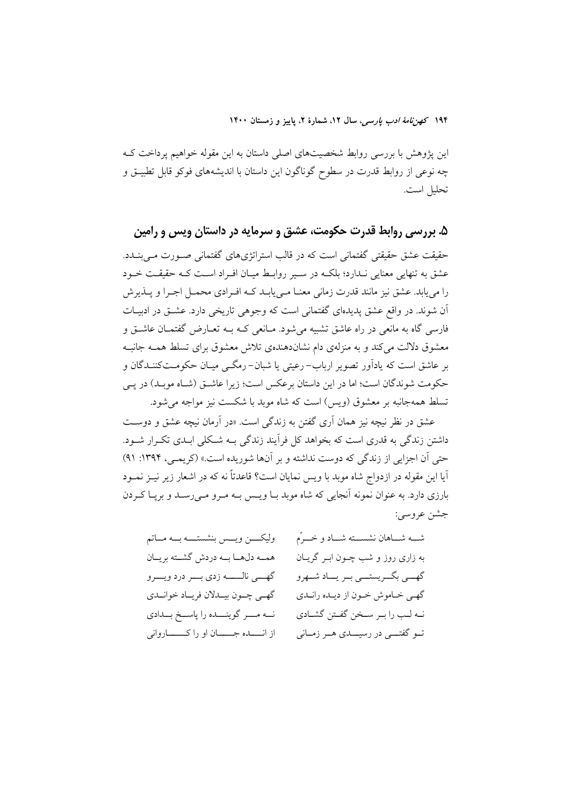این پژوهش با بررسی روابط شخصیتهای اصلی داستان به این مقوله خواهیم پرداخت ک چه نوعی از روابط قدرت در سطوح گوناگون این داستان با اندیشههای فوکو قابل تطبیــق و تحليل است.

۵. بررسی روابط قدرت حکومت، عشق و سرمایه در داستان ویس و رامین حقیقت عشق حقیقتی گفتمانی است که در قالب استراتژیهای گفتمانی صـورت مـی بنــدد. عشق به تنهایی معنایی نـدارد؛ بلکـه در سـیر روابـط میـان افـراد اسـت کـه حقیقـت خـود را می پابد. عشق نیز مانند قدرت زمانی معنــا مــی پابــد کــه افــرادی محمــل اجــرا و پــذیرش اّن شوند. در واقع عشق پدیدهای گفتمانی است که وجوهی تاریخی دارد. عشـق در ادبیـات فارسی گاه به مانعی در راه عاشق تشبیه می شود. مـانعی کـه بــه تعـارض گفتمــان عاشــق و معشوق دلالت میکند و به منزلهی دام نشاندهندهی تلاش معشوق برای تسلط همـه جانبـه بر عاشق است که یادآور تصویر ارباب-رعیتی یا شبان-رمگـی میـان حکومـتکننـدگان و حکومت شوندگان است؛ اما در این داستان برعکس است؛ زیرا عاشـق (شـاه موبـد) در پـی تسلط همهجانبه بر معشوق (ويس) است كه شاه موبد با شكست نيز مواجه مي شود.

عشق در نظر نیچه نیز همان اَری گفتن به زندگی است. «در اَرمان نیچه عشق و دوست داشتن زندگی به قدری است که بخواهد کل فرآیند زندگی بـه شــکلی ابـدی تکــرار شــود. حتی آن اجزایی از زندگی که دوست نداشته و بر آنها شوریده است.» (کریمبی، ۱۳۹۴: ۹۱) آيا اين مقوله در ازدواج شاه موبد با ويس نمايان است؟ قاعدتاً نه كه در اشعار زير نيــز نمــود بارزی دارد. به عنوان نمونه آنجایی که شاه موبد بـا ویـس بـه مـرو مـیرسـد و بریـا کـردن جشن عروسي:

| وليكــــن ويـــس بنشستــــه بـــه مـــاتم  | ثىــــه شــــاهان نشســــته شـــاد و خــــرّم |
|--------------------------------------------|-----------------------------------------------|
| همـه دلهـا بـه دردش گشــته بريــان         | به زاری روز و شب چــون ابــر گريــان          |
| گهسي نالـــــه زدي بـــر درد ويـــرو       | گهسي بگريستسي بـر يـــاد شــهرو               |
| گهى چـون بيـدلان فريـاد خوانـدى            | گهـي خـاموش خـون از ديـده رانـدي              |
| نــه مــــر گوينـــــده را پاســخ بـــدادى | نـه لـب را بـر سـخن گفـتن گشـادي              |
| از انسده جـــان او را كــــاروانى          | نــو گفتـــي در رسيــــدي هــر زمــاني        |
|                                            |                                               |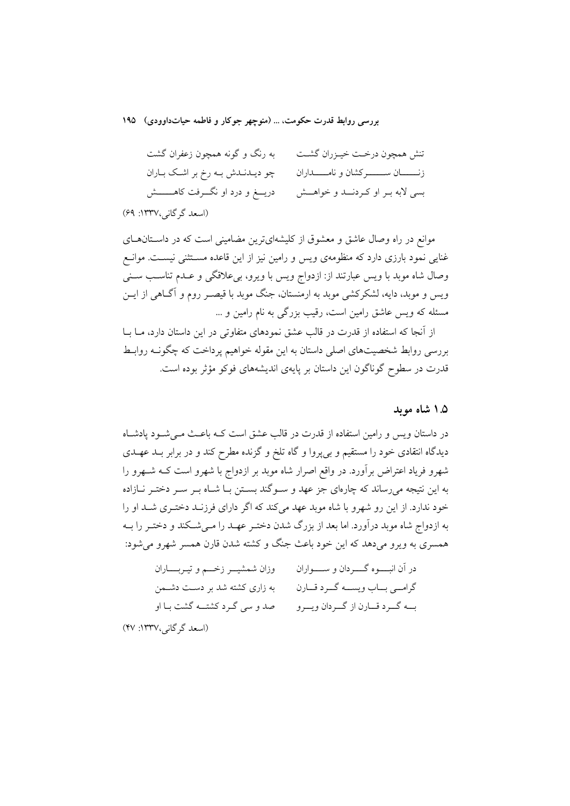به رنگ و گونه همچون زعفران گشت تنش همچون درخـت خيـزران گشـت چو دیـدنـدش بـه رخ بر اشـک بـاران زنـــــــــــان ســــــــــــــر كشان و نامـــــــــــداران دریـــغ و درد او نگــــرفت کاهــــــــش بسي لابه بـر او كـردنـــد و خواهـــش (اسعد گر گانی،۱۳۳۷: ۶۹)

موانع در راه وصال عاشق و معشوق از کلیشهایترین مضامینی است که در داستان های غنایی نمود بارزی دارد که منظومهی ویس و رامین نیز از این قاعده مستثنی نیست. موانع وصال شاه موبد با ويس عبارتند از: ازدواج ويس با ويرو، بيءلاقگي و عـدم تناسـب سـني ویس و موبد، دایه، لشکرکشی موبد به ارمنستان، جنگ موبد با قیصـر روم و آگــاهی از ایــن مسئله که ویس عاشق رامین است، رقیب بزرگی به نام رامین و …

از آنجا که استفاده از قدرت در قالب عشق نمودهای متفاوتی در این داستان دارد، مــا بــا بررسی روابط شخصیتهای اصلی داستان به این مقوله خواهیم پرداخت که چگونــه روابــط قدرت در سطوح گوناگون این داستان بر پایهی اندیشههای فوکو مؤثر بوده است.

#### ۱.۵ شاه مويد

در داستان ویس و رامین استفاده از قدرت در قالب عشق است کـه باعـث مـیشـود پادشـاه دیدگاه انتقادی خود را مستقیم و بیپروا و گاه تلخ و گزنده مطرح کند و در برابر بـد عهـدی شهرو فریاد اعتراض برآورد. در واقع اصرار شاه موبد بر ازدواج با شهرو است کـه شــهرو را به این نتیجه می رساند که چارهای جز عهد و سـوگند بسـتن بـا شـاه بـر سـر دختـر نــازاده خود ندارد. از این رو شهرو با شاه موبد عهد می کند که اگر دارای فرزنـد دختـری شـد او را به ازدواج شاه موبد درآورد. اما بعد از بزرگ شدن دختـر عهـد را مـیشـكند و دختـر را بــه همسري به ويرو مي دهد كه اين خود باعث جنگ و كشته شدن قارن همسر شهرو مي شود:

| وزان شمشيــر زخــم و تيـربــــاران | در أن انبــــوه گـــــردان و ســــــواران |
|------------------------------------|-------------------------------------------|
| به زاری کشته شد بر دست دشمن        | گرامــي بــاب ويســـه گــرد قــارن        |
| صد و سی گـرد کشتــه گشت بـا او     | بــه گــرد قــارن از گــردان ويــرو       |
| (اسعد گرگانی،۱۳۳۷: ۴۷)             |                                           |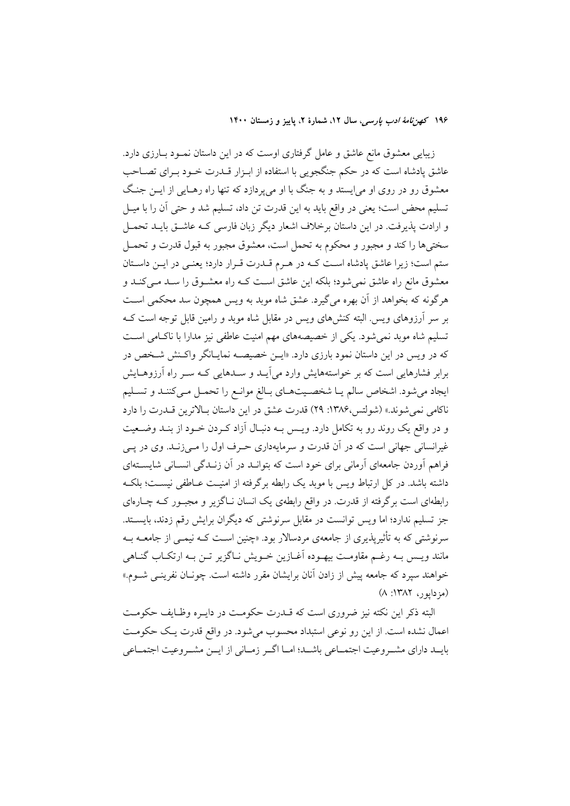زیبایی معشوق مانع عاشق و عامل گرفتاری اوست که در این داستان نمـود بـارزی دارد. عاشق یادشاه است که در حکم جنگجویی با استفاده از ابـزار قــدرت خــود بــرای تصــاحب معشوق رو در روی او می!پستد و به جنگ با او میپردازد که تنها راه رهـایی از ایــن جنـگ تسليم محض است؛ يعني در واقع بايد به اين قدرت تن داد، تسليم شد و حتى آن را با ميـل و ارادت پذیرفت. در این داستان برخلاف اشعار دیگر زبان فارسی کـه عاشــق بایــد تحمــل سختیها را کند و مجبور و محکوم به تحمل است، معشوق مجبور به قبول قدرت و تحمــل ستم است؛ زیرا عاشق پادشاه اسـت کـه در هـرم قــدرت قــرار دارد؛ یعنــی در ایــن داســتان معشوق مانع راه عاشق نمیشود؛ بلکه این عاشق است کـه راه معشـوق را سـد مـیکنـد و هرگونه که بخواهد از آن بهره میگیرد. عشق شاه موبد به ویس همچون سد محکمی است بر سر آرزوهای ویس البته کنشهای ویس در مقابل شاه موبد و رامین قابل توجه است ک تسلیم شاه موبد نمیشود. یکی از خصیصههای مهم امنیت عاطفی نیز مدارا با ناکامی است که در ویس در این داستان نمود بارزی دارد. «ایــن خصیصــه نمایــانگر واکـنش شــخص در برابر فشارهایی است که بر خواستههایش وارد می آیـد و سـدهایی کـه سـر راه آرزوهـایش ايجاد مي شود. اشخاص سالم يـا شخصـيتهـاي بـالغ موانـع را تحمـل مـي كننـد و تسـليم ناكامي نمي شوند.» (شولتس،١٣٨۶: ٢٩) قدرت عشق در اين داستان بـالاترين قــدرت را دارد و در واقع یک روند رو به تکامل دارد. ویــس بــه دنبــال آزاد کــردن خــود از بنــد وضــعیت غیرانسانی جهانی است که در آن قدرت و سرمایهداری حـرف اول را مـی(نـد. وی در یـی فراهم آوردن جامعهای آرمانی برای خود است که بتوانـد در آن زنـدگی انســانی شایســتهای داشته باشد. در کل ارتباط ویس با موبد یک رابطه برگرفته از امنیـت عــاطفی نیسـت؛ بلکــه رابطهای است برگرفته از قدرت در واقع رابطهی یک انسان نـاگزیر و مجبـور کـه چـارهای جز تسلیم ندارد؛ اما ویس توانست در مقابل سرنوشتی که دیگران برایش رقم زدند، بایستد. سرنوشتی که به تأثیریذیری از جامعهی مردسالار بود. «چنین اسـت کـه نیمـی از جامعــه بــه مانند ویـس بـه رغـم مقاومـت بیهـوده آغــازین خــویش نــاگزیر تــن بــه ارتکــاب گنــاهی خواهند سپرد که جامعه پیش از زادن آنان برایشان مقرر داشته است. چونـان نفرینــی شــوم.»  $(A:1YAT, 0)$  (مزدايور، ۱۳۸۲)

البته ذکر این نکته نیز ضروری است که قــدرت حکومـت در دایــره وظـایف حکومـت اعمال نشده است. از این رو نوعی استبداد محسوب میشود. در واقع قدرت یک حکومت بايــد داراي مشــروعيت اجتمــاعي باشــد؛ امــا اگــر زمــاني از ايــن مشــروعيت اجتمــاعي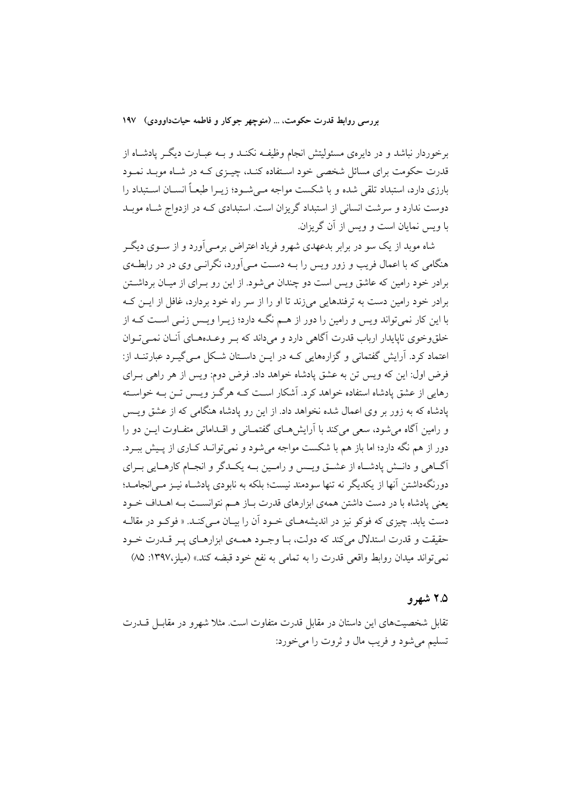برخوردار نباشد و در دایرهی مسئولیتش انجام وظیفـه نکنـد و بــه عبــارت دیگــر پادشــاه از قدرت حکومت برای مسائل شخصی خود استفاده کنـد، چیــزی کـه در شـاه موبـد نمــود بارزی دارد، استبداد تلقی شده و با شکست مواجه مـیشـود؛ زیــرا طبعــاً انســان اســتبداد را دوست ندارد و سرشت انسانی از استبداد گریزان است. استبدادی کـه در ازدواج شـاه موبـد با ویس نمایان است و ویس از آن گریزان.

شاه موبد از یک سو در برابر بدعهدی شهرو فریاد اعتراض برمبی آورد و از ســوی دیگــر هنگامی که با اعمال فریب و زور ویس را بــه دســت مــیآورد، نگرانــی وی در در رابطــهی برادر خود رامین که عاشق ویس است دو چندان می شود. از این رو بـرای از میـان برداشــتن برادر خود رامین دست به ترفندهایی می;ند تا او را از سر راه خود بردارد، غافل از ایــن کــه با این کار نمی تواند ویس و رامین را دور از هـم نگـه دارد؛ زیـرا ویـس زنـی اسـت کـه از خلق وخوی ناپایدار ارباب قدرت آگاهی دارد و می داند که به وعـدههـای آنـان نمـی تـوان اعتماد کرد. آرایش گفتمانی و گزارههایی کـه در ایــن داســتان شــکل مــی گیــرد عبارتنــد از: فرض اول: این که ویس تن به عشق پادشاه خواهد داد. فرض دوم: ویس از هر راهی بـرای رهایی از عشق یادشاه استفاده خواهد کرد. آشکار است کـه هرگـز ویـس تـن بـه خواسـته یادشاه که به زور بر وی اعمال شده نخواهد داد. از این رو یادشاه هنگامی که از عشق ویس و رامین آگاه می شود، سعی می کند با آرایش هـای گفتمـانی و اقــداماتی متفــاوت ایــن دو را دور از هم نگه دارد؛ اما باز هم با شکست مواجه می شود و نمی توانـد کـاری از پـیش ببـرد. آگ@هی و دانـش پادشـاه از عشـق ویـس و رامـین بـه یکـدگر و انجـام کارهـایی بـرای دورنگهداشتن آنها از یکدیگر نه تنها سودمند نیست؛ بلکه به نابودی پادشـاه نیــز مــی|نجامــد؛ یعنی پادشاه با در دست داشتن همهی ابزارهای قدرت باز هـم نتوانسـت بـه اهـداف خـود دست یابد. چیزی که فوکو نیز در اندیشههـای خـود آن را بیـان مـیکنـد. « فوکـو در مقالـه حقیقت و قدرت استدلال می کند که دولت، بـا وجـود همـهی ابزارهـای پـر قـدرت خـود نمي تواند ميدان روابط واقعي قدرت را به تمامي به نفع خود قبضه كند.» (ميلز،١٣٩٧: ٨٥)

### ۲.۵ شهرو

تقابل شخصیتهای این داستان در مقابل قدرت متفاوت است. مثلا شهرو در مقابــل قـــدرت تسليم مي شود و فريب مال و ثروت را مي خورد: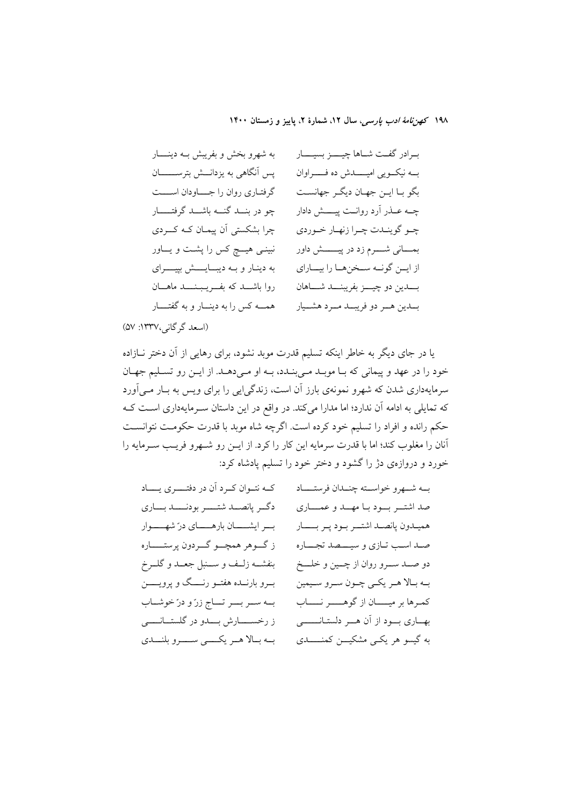بـرادر گفــت شــاها چيـــــز بسيـــــار به شهرو بخش و بفريبش بـه دينــــار يس آنگاهي به يزدانـــش بترســــــــان بــه نيكــويي اميــــــدش ده فـــــــراوان بگو بـا ايــن جهـان ديگــر جهانسـت گرفتـاری روان را جــــاودان اســــت چو در بنــد گنـــه باشـــد گرفتـــــار چــه عــذر اَرد روانــت پيــــش دادار چرا بشکستی آن پیمان کـه کــردی چـو گوينــدت چـرا زنهـار خـوردي بمـــاني شــــرم زد در پيـــــــش داور نبینے ہیے کس را پشت و یـــاور از ایــن گونــه ســخنِهــا را بیـــارای به دینار و به دیبایشش بییرای روا باشــد كه بفــريـبـنـــد ماهــان بــــدين دو چيــــز بفريبنــــد شـــــاهان همــه کس را به دینـــار و به گفتــــار بلدين هـر دو فريبــد مــرد هشــيار

(اسعد گر گانی،١٣٣٧: ۵٧)

یا در جای دیگر به خاطر اینکه تسلیم قدرت موبد نشود، برای رهایی از آن دختر نـازاده خود را در عهد و پيماني كه بـا موبـد مـي بنـدد، بـه او مـي دهـد. از ايـن رو تسـليم جهـان سرمایهداری شدن که شهرو نمونهی بارز آن است، زندگیایی را برای ویس به بـار مـیآورد که تمایلی به ادامه آن ندارد؛ اما مدارا میکند. در واقع در این داستان سـرمایهداری اسـت کـه حکم رانده و افراد را تسلیم خود کرده است. اگرچه شاه موبد با قدرت حکومت نتوانسـت آنان را مغلوب كند؛ اما با قدرت سرمايه اين كار را كرد. از ايـن رو شـهرو فريـب سـرمايه را خورد و دروازهی دژ را گشود و دختر خود را تسلیم یادشاه کرد:

| کـه نتـوان کـرد آن در دفتـــري يــــاد       | بــه شـــهرو خواســـته چنـــدان فرستـــــاد       |
|----------------------------------------------|---------------------------------------------------|
| دگر پانصــد شتــــر بودنــــد بـــاري        | صد اشتـــر بـــود بــا مهـــد و عمـــــارى        |
| بسر ایشــــان بارهـــــای درّ شهــــوار      | هميـدون پانصـد اشتــر بـود پـر بـــــار           |
| ز گــوهر همچـــو گـــردون پرستــــــاره      | صـد اسـب تـازي و سيــــصد تجــــاره               |
| بنفشــه زلــف و ســـنبل جعــد و گلــرخ       | دو صـــد ســـرو روان از چـــين و خلــــخ          |
| بــرو بارنـــده هفتــو رنـــــگ و پرويـــــن | بـه بـالا هـر يكـي چـون سـرو سـيمين               |
| بـه سـر بــر تــاج زرّ و درّ خوشـاب          | كمرها بر ميـــــان از گوهــــــر نــــــاب        |
| ز رخســـــارش بــــدو در گلستـــانــــــى    | بهــاري بـــود از آن هـــر دلستــانـــــــي       |
| به بالا هـر يكـــي ســـرو بلنــدي            | به گیسو هر یک <sub>می</sub> مشکیـــن کمنـــــــدی |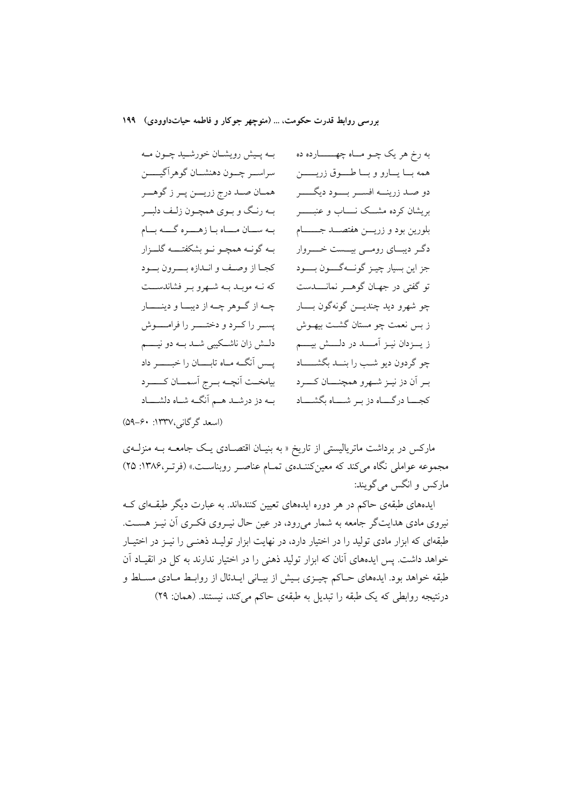بـه پـیش رویشـان خورشـید چـون مـه به رخ هر يک چــو مـــاه چهــــــــارده ده سراســر چــون دهنشــان گوهرآگيـــــن همه بـــا يـــارو و بــــا طـــــوق زريــــــــن همـان صـد درج زريـــن پـر ز گوهـــر دو صـد زرينـــه افســـر بـــــود ديگــــــر بـه رنـگ و بـوي همچـون زلـف دلبــر بریشان کرده مشــک نـــــاب و عنبــــــــر بـه سـان مــاه بـا زهـــره گـــه بــام بلورين بود و زريـــن هفتصـــد جــــــــام دگـر ديبــاي رومــي بيـــست خــــروار بـه گونــه همچــو نــو بشکفتـــــه گلـــزار كجبا از وصف و انبدازه بــــرون بــود جز این بسیار چیـز گونـــهگــــون بـــــود که نـه موبـد بـه شـهرو بـر فشاندســت تو گفتی در جهـان گوهـــر نمانـــــدست چه از گوهر چـه از ديبــا و دينـــــار چو شھرو ديد چنديـــن گونهگون بـــــار يسـر را كـرد و دختـــر را فرامــــوش ز بس نعمت چو مستان گشـت بيهــوش ز يـــزدان نيــز آمـــــد در دلــــش بيـــــم دلـــش زان ناشـــکیبی شـــد بـــه دو نیــــــم یس آنگـه مـاه تابــــان را خبـــــــر داد چو گردون دیو شب را بنسد بگشــــاد بيامخت آنچه برج آسمان كسرد ببر آن دز نيبز شبهرو همچنسان كسرد كجــــا درگـــــاه دز بــر شـــــاه بگشـــــاد بـه دز درشــد هــم آنگــه شــاه دلشــــاد

(اسعد گرگانی،۱۳۳۷: ۶۰-۵۹)

مارکس در برداشت ماتریالیستی از تاریخ « به بنیـان اقتصـادی یـک جامعــه بــه منزلــهی مجموعه عواملی نگاه می کند که معین کننـدهی تمـام عناصـر روبناسـت.» (فرتـر،۱۳۸۶: ۲۵) مارکس و انگس می گویند:

ایدههای طبقهی حاکم در هر دوره ایدههای تعیین کنندهاند. به عبارت دیگر طبقـهای کـه نیروی مادی هدایتگر جامعه به شمار میرود، در عین حال نیـروی فکـری آن نیـز هســت. طبقهای که ابزار مادی تولید را در اختیار دارد، در نهایت ابزار تولیـد ذهنـی را نیـز در اختیـار خواهد داشت. پس ایدههای آنان که ابزار تولید ذهنی را در اختیار ندارند به کل در انقیـاد آن طبقه خواهد بود. ایدههای حـاکم چیــزی بــیش از بیــانی ایــدئال از روابــط مــادی مســلط و درنتیجه روابطی که یک طبقه را تبدیل به طبقهی حاکم میکند، نیستند. (همان: ۲۹)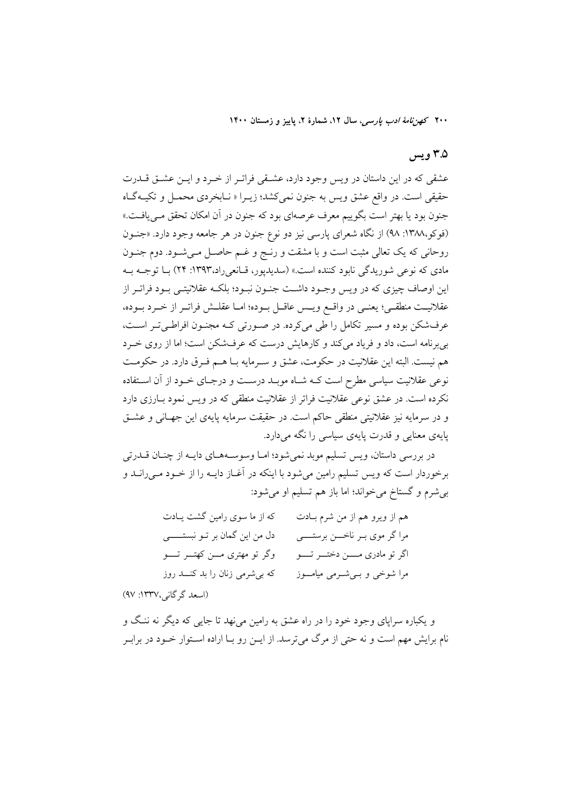# ۳.۵ ویس

عشقی که در این داستان در ویس وجود دارد، عشـقی فراتـر از خـرد و ایــن عشــق قــدرت حقيقي است. در واقع عشق ويس به جنون نمي كشد؛ زيـرا « نـابخردي محمـل و تكيـه گـاه جنون بود یا بهتر است بگوییم معرف عرصهای بود که جنون در آن امکان تحقق مــیlفــت.» (فوکو،١٣٨٨: ٩٨) از نگاه شعراي پارسي نيز دو نوع جنون در هر جامعه وجود دارد. «جنــون روحانی که یک تعالی مثبت است و با مشقت و رنـج و غـم حاصـل مـیشـود. دوم جنـون مادي كه نوعي شوريدگي نابود كننده است.» (سديديور، قـانعي(د،١٣٩٣: ٢۴) بــا توجــه بــه این اوصاف چیزی که در ویس وجـود داشـت جنـون نبـود؛ بلکـه عقلانیتـی بـود فراتـر از عقلانيـت منطقـى؛ يعنـى در واقــع ويــس عاقــل بــوده؛ امــا عقلــش فراتــر از خــرد بــوده، عرفشکن بوده و مسیر تکامل را طی میکرده. در صورتی کـه مجنـون افراطـیتـر اسـت، بی برنامه است، داد و فریاد می کند و کارهایش درست که عرفشکن است؛ اما از روی خـرد هم نيست. البته اين عقلانيت در حكومت، عشق و سـرمايه بــا هــم فـرق دارد. در حكومــت نوعی عقلانیت سیاسی مطرح است کـه شـاه موبـد درسـت و درجـای خـود از آن اسـتفاده نکرده است. در عشق نوعی عقلانیت فراتر از عقلانیت منطقی که در ویس نمود بـارزی دارد و در سرمايه نيز عقلانيتي منطقى حاكم است. در حقيقت سرمايه يايهي اين جهـاني و عشــق یایهی معنایی و قدرت پایهی سیاسی را نگه می دارد.

در بررسی داستان، ویس تسلیم موبد نمی شود؛ امـا وسوسـههـای دایـه از چنـان قــدرتی برخوردار است که ویس تسلیم رامین میشود با اینکه در آغــاز دایــه را از خــود مــی(انــد و بي شرم و گستاخ مي خواند؛ اما باز هم تسليم او مي شود:

| که از ما سوی رامین گشت یـادت        | هم از ویرو هم از من شرم بـادت       |
|-------------------------------------|-------------------------------------|
| دل من این گمان بر تــو نبستـــــــی | مراگر موی بـر ناخـــن برستــــی     |
| وگر تو مهتری مـــن کهتـــر تـــــو  | اگر تو مادری مــــن دختـــر تـــــو |
| که بیشرمی زنان را بد کنــد روز      | مرا شوخی و بےشرمی میاموز            |

(اسعد گر گانی،۱۳۳۷: ۹۷)

و یکباره سرایای وجود خود را در راه عشق به رامین می نهد تا جایی که دیگر نه ننگ و نام برایش مهم است و نه حتبی از مرگ میترسد. از ایــن رو بــا اراده اســتوار خــود در برابــر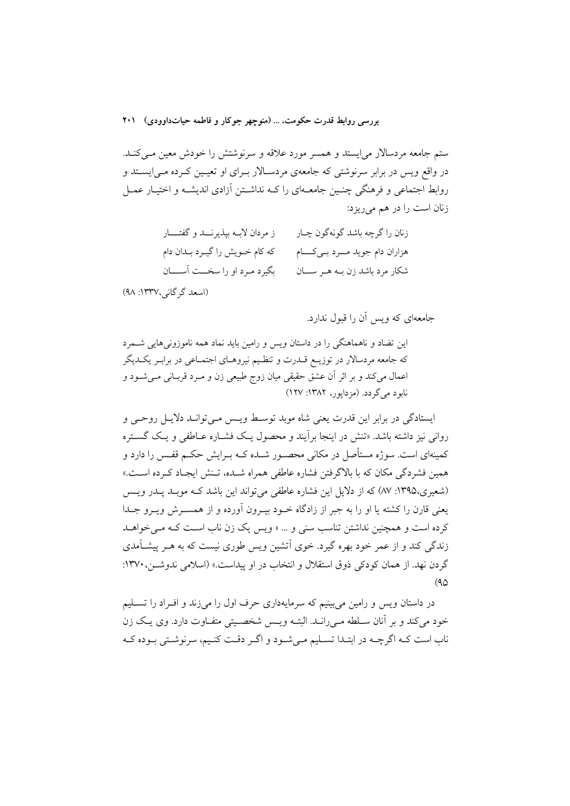ستم جامعه مردسالار می[یستد و همسر مورد علاقه و سرنوشتش را خودش معین مـیکنـد. در واقع ویس در برابر سرنوشتی که جامعهی مردسـالار بـرای او تعیـین کـرده مـی|پســتد و روابط اجتماعی و فرهنگی چنـین جامعـهای را کــه نداشــتن آزادی اندیشــه و اختیــار عمــل زنان است را در هم می ریزد:

| ز مردان لابــه بپذیرنــــد و گفتـــــار | زنان را گرچه باشد گونهگون چــار     |
|-----------------------------------------|-------------------------------------|
| که کام خــویش را گیــرد بــدان دام      | هزاران دام جوید مـــرد بــیکـــــام |
| بگیرد مـرد او را سخــت آســــان         | شکار مرد باشد زن بـه هـر ســان      |

(اسعد گر گانی،١٣٣٧: ٩٨)

جامعهای که ویس آن را قبول ندارد.

این تضاد و ناهماهنگی را در داستان ویس و رامین باید نماد همه ناموزونی هایی شــمرد که جامعه مردسالار در توزیـع قــدرت و تنظـيم نيروهـاي اجتمـاعي در برابـر يکــديگر اعمال میکند و بر اثر اّن عشق حقیقی میان زوج طبیعی زن و مـرد قربـانی مـیشــود و نابو د مي گر دد. (مز دايور، ١٣٨٢: ١٢٧)

ایستادگی در برابر این قدرت یعنی شاه موید توسیط ویسی میے توانید دلایل روحیے و روانی نیز داشته باشد. «تنش در اینجا برأیند و محصول یک فشــاره عــاطفی و یـک گســتره کمینهای است. سوژه مستأصل در مکانی محصـور شـده کـه بـرایش حکـم قفـس را دارد و همین فشردگی مکان که با بالاگرفتن فشاره عاطفی همراه شـده، تـنش ایجـاد کـرده اسـت.» (شعیری،۱۳۹۵: ۸۷) که از دلایل این فشاره عاطفی میتواند این باشد کـه موبـد پـدر ویـس يعني قارن را كشته يا او را به جبر از زادگاه خـود بيـرون آورده و از همسـرش ويـرو جـدا کرده است و همچنین نداشتن تناسب سنی و … « ویس یک زن ناب است کـه مـی خواهــد زندگی کند و از عمر خود بهره گیرد. خوی اَتشین ویس طوری نیست که به هــر پیشــاَمدی گردن نهد. از همان کودکی ذوق استقلال و انتخاب در او پیداست.» (اسلامی ندوشـر، ۱۳۷۰:  $(90)$ 

در داستان ويس و رامين مي بينيم كه سرمايهداري حرف اول را مي زند و افــراد را تســليم خود می کند و بر آنان سـلطه مـی(الـد. البتــه ویـس شخصــیتی متفــاوت دارد. وی یــک زن ناب است کـه اگرچـه در ابتـدا تسـليم مـي شـود و اگـر دقـت کنـيم، سرنوشـتي بـوده کـه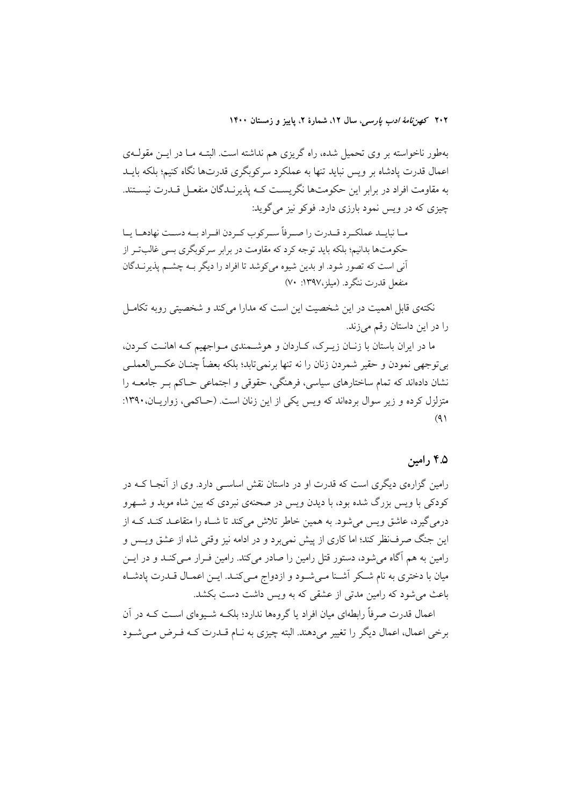بهطور ناخواسته بر وی تحمیل شده، راه گریزی هم نداشته است. البتـه مـا در ایــن مقولــهی اعمال قدرت یادشاه بر ویس نباید تنها به عملکرد سرکوبگری قدرتها نگاه کنیم؛ بلکه بایــد به مقاومت افراد در برابر این حکومتها نگریست کـه پذیرنـدگان منفعـل قــدرت نیســتند. چيزې که در ويس نمود بارزې دارد. فوکو نيز مي گويد:

مـا نبايــد عملكــرد قــدرت را صــرفاً ســر كوب كــردن افــراد بــه دســت نهادهــا يــا حکومتها بدانیم؛ بلکه باید توجه کرد که مقاومت در برابر سرکوبگری بسی غالبتر از آنی است که تصور شود. او بدین شیوه میکوشد تا افراد را دیگر بـه چشــم پذیرنــدگان منفعل قدرت ننگرد. (میلز،۱۳۹۷: ۷۰)

نکتهی قابل اهمیت در این شخصیت این است که مدارا می کند و شخصیتی روبه تکامـل را در این داستان رقم میزند.

ما در ایران باستان با زنـان زیــرک، کـاردان و هوشــمندی مــواجهیم کــه اهانــت کــردن، بي توجهي نمودن و حقير شمردن زنان را نه تنها برنمي تابد؛ بلكه بعضاً چنــان عكــسالعملــي نشان دادهاند که تمام ساختارهای سیاسی، فرهنگی، حقوقی و اجتماعی حــاکم بــر جامعــه را متزلزل کرده و زیر سوال بردهاند که ویس یکی از این زنان است. (حـاکمی، زواریـان، ۱۳۹۰:  $(9)$ 

### ۴.۵ رامین

رامین گزارهی دیگری است که قدرت او در داستان نقش اساســی دارد. وی از آنجـا کــه در کودکی با ویس بزرگ شده بود، با دیدن ویس در صحنهی نبردی که بین شاه موبد و شـهرو درمیگیرد، عاشق ویس میشود. به همین خاطر تلاش میکند تا شـاه را متقاعـد کنـد کــه از این جنگ صرفنظر کند؛ اما کاری از پیش نمی برد و در ادامه نیز وقتی شاه از عشق ویـس و رامین به هم آگاه می شود، دستور قتل رامین را صادر می کند. رامین فـرار مـی کنــد و در ایــن میان با دختری به نام شکر آشــنا مــیشــود و ازدواج مــیکنــد. ایــن اعمــال قــدرت پادشــاه باعث می شود که رامین مدتی از عشقی که به ویس داشت دست بکشد.

اعمال قدرت صرفاً رابطهای میان افراد یا گروهها ندارد؛ بلکـه شــیوهای اسـت کــه در آن برخی اعمال، اعمال دیگر را تغییر میدهند. البته چیزی به نـام قــدرت کــه فــرض مــیشــود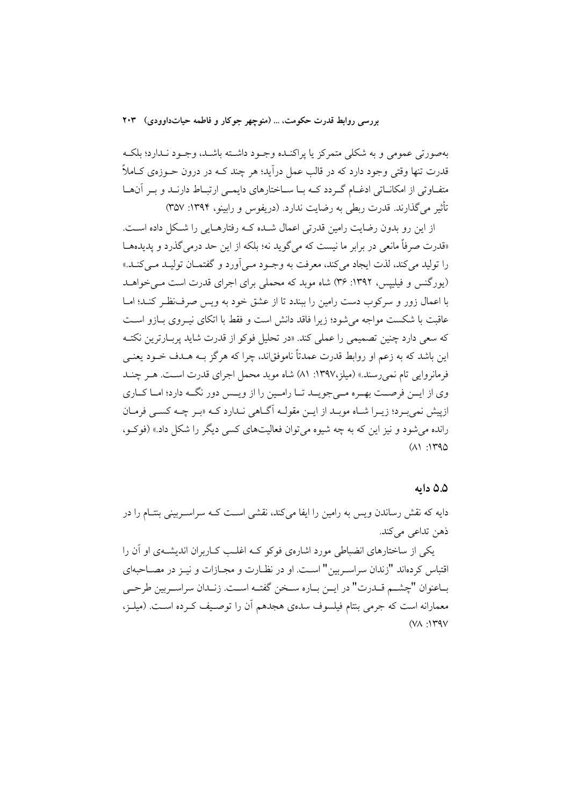بهصورتي عمومي و به شكلي متمركز يا يراكنـده وجـود داشـته باشـد، وجـود نـدارد؛ بلكـه قدرت تنها وقتي وجود دارد که در قالب عمل درآيد؛ هر چند کــه در درون حــوزوي کــاملاً متفـاوتی از امکانــاتی ادغــام گــردد کــه بــا ســاختارهای دایمــی ارتبــاط دارنــد و بــر آن&ــا تأثير مي گذارند. قدرت ربطي به رضايت ندارد. (دريفوس و رابينو، ۱۳۹۴: ۳۵۷)

از این رو بدون رضایت رامین قدرتی اعمال شـده کـه رفتارهـایی را شـکل داده اسـت. «قدرت صرفاً مانعي در برابر ما نيست كه مي گويد نه؛ بلكه از اين حد درمي گذرد و يديدهـا را توليد مي كند، لذت ايجاد مي كند، معرفت به وجـود مـي آورد و گفتمــان توليــد مــي كنــد.» (یورگنس و فیلیپس، ۱۳۹۲: ۳۶) شاه موبد که محملی برای اجرای قدرت است می خواهـد با اعمال زور و سرکوب دست رامین را ببندد تا از عشق خود به ویس صرف نظر کنـد؛ امـا عاقبت با شکست مواجه می شود؛ زیرا فاقد دانش است و فقط با اتکای نیبروی بیازو است که سعی دارد چنین تصمیمی را عملی کند. «در تحلیل فوکو از قدرت شاید پربـارترین نکتـه این باشد که به زعم او روابط قدرت عمدتاً ناموفقاند، چرا که هرگز بـه هـدف خـود بعنـی فرمانروایی تام نمی رسند.» (میلز،۱۳۹۷: ۸۱) شاه موبد محمل اجرای قدرت است. هـر چنـد وی از ایــن فرصــت بهــره مــىجویــد تــا رامــین را از ویــس دور نگــه دارد؛ امــا كــارى ازپیش نمی به د؛ زیبرا شباه موبید از این مقولیه آگیاهی نیدارد کیه «ببر چیه کسبی فرمیان رانده می شود و نیز این که به چه شیوه می توان فعالیتهای کسی دیگر را شکل داد.» (فوک و،  $(11.140)$ 

#### ۵.۵ داىە

دایه که نقش رساندن ویس به رامین را ایفا میکند، نقشی اسـت کــه سراســربینی بنتــام را در ذهن تداعي مي كند.

یکی از ساختارهای انضباطی مورد اشارهی فوکو کـه اغلـب کـاربران اندیشـهی او آن را اقتباس کر دهاند "زندان سراسه بین" است. او در نظـارت و مجـازات و نیـز در مصـاحبهای بــاعنوان "چشـــم قــدرت" در ايــن بــاره ســخن گفتــه اســت. زنــدان سراســربين طرحــي معمارانه است که جرمی بنتام فیلسوف سدهی هجدهم آن را توصیف کـرده اسـت. (میلـز،  $(YA \cdot YY)$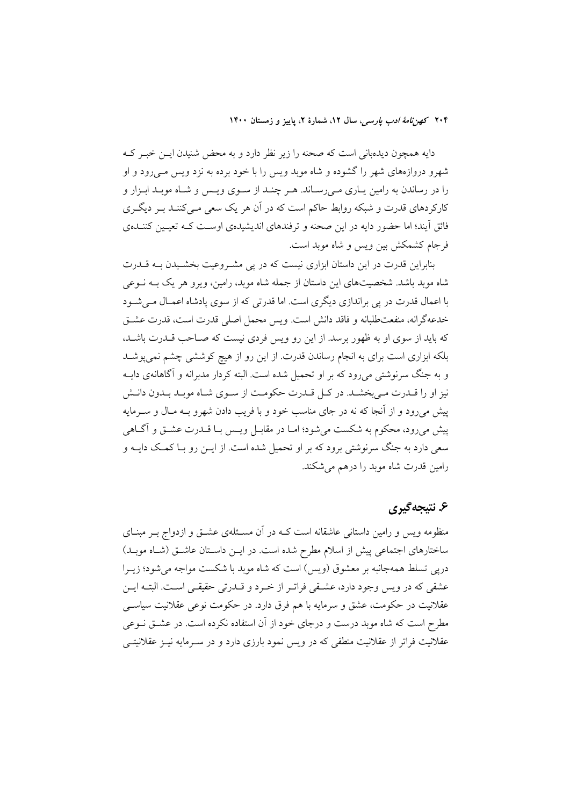دایه همچون دیدهبانی است که صحنه را زیر نظر دارد و به محض شنیدن ایــن خبـر کــه شهرو دروازههای شهر را گشوده و شاه موبد ویس را با خود برده به نزد ویس مــی(ود و او را در رساندن به رامین پاری می رساند. هـر چنـد از سـوی ویـس و شـاه موبـد ابـزار و کارکردهای قدرت و شبکه روابط حاکم است که در آن هر یک سعی مـیکننـد بـر دیگـری فائق آیند؛ اما حضور دایه در این صحنه و ترفندهای اندیشیدهی اوست کـه تعیـین کننـدهی فرجام كشمكش بين ويس و شاه موبد است.

بنابراین قدرت در این داستان ابزاری نیست که در پی مشـروعیت بخشـیدن بـه قــدرت شاه موبد باشد. شخصیتهای این داستان از جمله شاه موبد، رامین، ویرو هر یک بـه نــوعی با اعمال قدرت در یی براندازی دیگری است. اما قدرتی که از سوی یادشاه اعمـال مـی شـود خدعه گرانه، منفعت طلبانه و فاقد دانش است. ویس محمل اصلی قدرت است، قدرت عشتی که باید از سوی او به ظهور برسد. از این رو ویس فردی نیست که صـاحب قـدرت باشـد، بلکه ابزاری است برای به انجام رساندن قدرت از این رو از هیچ کوششی چشم نمی پوشـد و به جنگ سرنوشتی میرود که بر او تحمیل شده است. البته کردار مدبرانه و آگاهانهی دایــه نیز او را قــدرت مــي بخشــد. در كــل قــدرت حكومــت از ســوى شــاه موبــد بــدون دانــش پیش میرود و از آنجا که نه در جای مناسب خود و با فریب دادن شهرو بـه مـال و سـرمایه پیش میرود، محکوم به شکست می شود؛ امـا در مقابـل ویـس بـا قــدرت عشــق و آگــاهی سعی دارد به جنگ سرنوشتی برود که بر او تحمیل شده است. از ایــن رو بــا کمــک دایــه و رامین قدرت شاه موبد را درهم می شکند.

## ۶. نتيجه گيري

منظومه ویس و رامین داستانی عاشقانه است کـه در آن مسـئلهی عشــق و ازدواج بــر مبنــای ساختارهای اجتماعی پیش از اسلام مطرح شده است. در ایــن داســتان عاشــق (شــاه موبــد) دریی تسلط همهجانبه بر معشوق (ویس) است که شاه موبد با شکست مواجه می شود؛ زیـرا عشقی که در ویس وجود دارد، عشـقی فراتـر از خـرد و قـدرتی حقیقـی اسـت. البتـه ایـن عقلانیت در حکومت، عشق و سرمایه با هم فرق دارد. در حکومت نوعی عقلانیت سیاســی مطرح است که شاه موبد درست و درجای خود از آن استفاده نکرده است. در عشــق نــوعی عقلانیت فراتر از عقلانیت منطقی که در ویس نمود بارزی دارد و در سـرمایه نیـز عقلانیتــی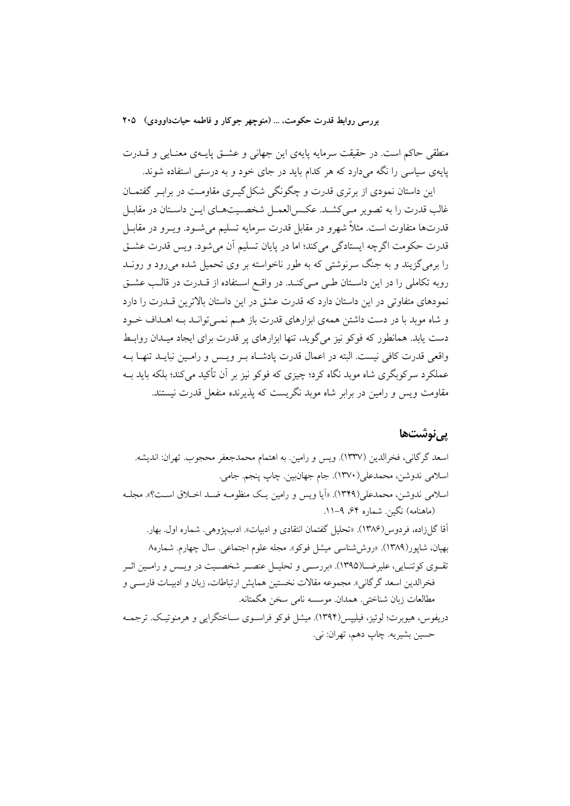منطقی حاکم است. در حقیقت سرمایه پایهی این جهانی و عشــق پایــهی معنــایی و قــدرت پایهی سیاسی را نگه میدارد که هر کدام باید در جای خود و به درستی استفاده شوند.

این داستان نمودی از برتری قدرت و چگونگی شکل گیـری مقاومـت در برابـر گفتمــان غالب قدرت را به تصویر مـی کشـد. عکـس|لعمـل شخصـیتهـای ایــن داسـتان در مقابـل قدرتها متفاوت است. مثلاً شهرو در مقابل قدرت سرمايه تسليم مي شــود. ويــرو در مقابــل قدرت حکومت اگرچه ایستادگی می کند؛ اما در پایان تسلیم اَن می شود. ویس قدرت عشـق را برمی گزیند و به جنگ سرنوشتی که به طور ناخواسته بر وی تحمیل شده می رود و رونــد روبه تکاملی را در این داستان طبی می کنـد. در واقـع اسـتفاده از قـدرت در قالـب عشـق نمودهای متفاوتی در این داستان دارد که قدرت عشق در این داستان بالاترین قــدرت را دارد و شاه موید یا در دست داشتن همهی ایزارهای قدرت باز هیم نمبی توانید بیه اهیداف خیود دست یابد. همانطور که فوکو نیز می گوید، تنها ابزارهای پر قدرت برای ایجاد میـدان روابـط واقع ٍ قدرت كافي نيست. البته در اعمال قدرت يادشـاه بـر ويـس و رامـين نبايـد تنهـا بـه عملکرد سرکوبگری شاه موبد نگاه کرد؛ چیزی که فوکو نیز بر آن تأکید می کند؛ بلکه باید بـه مقاومت ویس و رامین در برابر شاه موبد نگریست که پذیرنده منفعل قدرت نیستند.

### یے نوشتھا

اسعد گرگانی، فخرالدین (۱۳۳۷). ویس و رامین. به اهتمام محمدجعفر محجوب. تهران: اندیشه. اسلامي ندوشن، محمدعلي(١٣٧٠). جام جهان بين. چاپ پنجم. جامي. اسلامی ندوشن، محمدعلی(۱۳۴۹). «اَیا ویس و رامین یک منظومـه ضـد اخـلاق اسـت؟». مجلـه (ماهنامه) نگین. شماره ۶۴، ۹–۱۱. آقا گلزاده، فردوس(۱۳۸۶). «تحليل گفتمان انتقادي و ادبيات». ادبيژوهي. شماره اول. بهار. بهيان، شاپور(١٣٨٩). «روششناسي ميشل فوكو». مجله علوم اجتماعي. سال چهارم. شماره٨ تقـوي كوتنـايي، عليرضــا(١٣٩٥). «بررســي و تحليــل عنصــر شخصــيت در ويــس و رامــين اثــر فخرالدين اسعد گر گاني». مجموعه مقالات نخستين همايش ارتباطات، زبان و ادبيــات فارســي و مطالعات زبان شناختي. همدان موسسه نامي سخن هگمتانه. دريفوس، هيوبرت؛ لوئيز، فيلييس(١٣٩۴). ميشل فوكو فراسـوي ســاختگرايي و هرمنوتيــک. ترجمــه حسين بشيريه. چاپ دهم، تهران: ني.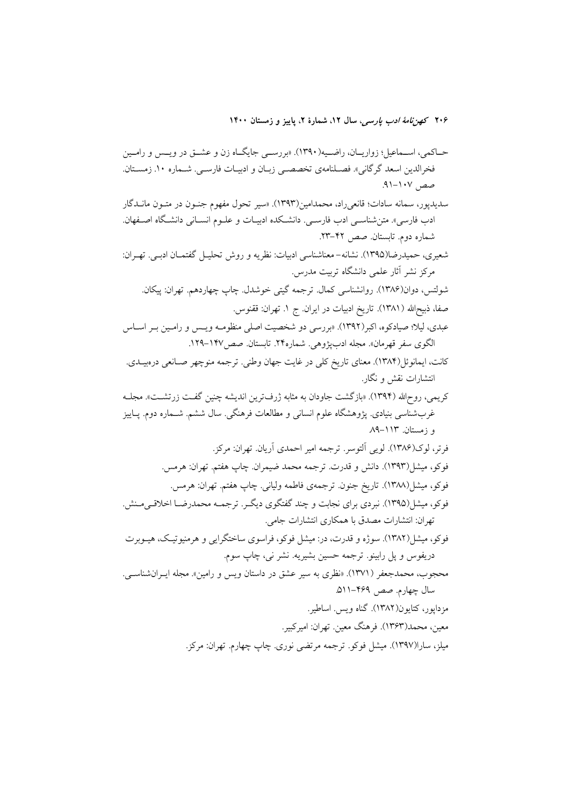حـاکمی، اســماعیل؛ زواریــان، راضــیه(١٣٩٠). «بررســي جایگــاه زن و عشــق در ویــس و رامــین فخرالدین اسعد گرگانی». فصـلنامهی تخصصـی زبـان و ادبیـات فارسـی. شــماره ۱۰. زمســتان.  $1 - 1.4$ 

سدیدپور، سمانه سادات؛ قانعیراد، محمدامین(۱۳۹۳). «سیر تحول مفهوم جنــون در متــون مانــدگار ادب فارسی». متن شناســی ادب فارســی. دانشــکده ادبیــات و علــوم انســانی دانشــگاه اصــفهان. ---شماره دوم. تابستان. صص ۴۲–۲۳.

شعیری، حمیدرضا(۱۳۹۵). نشانه– معناشناسی ادبیات: نظریه و روش تحلیــل گفتمــان ادبــی. تهــران: مرکز نشر اثار علمی دانشگاه تربیت مدرس. -

ثىولتس، دوان(۱۳۸۶). روانشناسى كمال. ترجمه گيتى خوشدل. چاپ چهاردهم. تهران: پيكان. -صفا، ذبیح\لله (١٣٨١). تاریخ ادبیات در ایران. ج ١. تهران: ققنوس. عبدی، لیلا؛ صیادکوه، اکبر(۱۳۹۲). «بررسی دو شخصیت اصلی منظومـه ویــس و رامـین بـر اســاس

الگوی سفر قهرمان». مجله ادبپژوهی. شماره۲۴. تابستان. صص۱۴۷–۱۲۹.

کانت، ایمانوئل(۱۳۸۴). معنای تاریخ کلی در غایت جهان وطنی. ترجمه منوچهر صـانعی درهبیــدی. انتشارات نقش و نگار. -

کریمی، روح|لله (۱۳۹۴). «بازگشت جاودان به مثابه ژرفترین اندیشه چنین گفـت زرتشـت». مجلــه -غربشناسی بنیادی. پژوهشگاه علوم انسانی و مطالعات فرهنگی. سال ششم. شــماره دوم. پــاییز -و زمستان. ۱۱۳–۸۹

فرتر، لوک(۱۳۸۶). لویی التوسر. ترجمه امیر احمدی اریان. تهران: مرکز. فوكو، ميشل(١٣٩٣). دانش و قدرت. ترجمه محمد ضيمران. چاپ هفتم. تهران: هرمس. -فوكو، ميشل(١٣٨٨). تاريخ جنون. ترجمهى فاطمه ولياني. چاپ هفتم. تهران: هرمس.

فوکو، میشل(۱۳۹۵). نبردی برای نجابت و چند گفتگوی دیگـر. ترجمــه محمدرضــا اخلاقــیمــنش.

نهران: انتشارات مصدق با همکاری انتشارات جامی. --فوکو، میشل(۱۳۸۲). سوژه و قدرت، در: میشل فوکو، فراسوی ساختگرایی و هرمنیوتیک، هیــوبرت

دریفوس و پل رابینو. ترجمه حسین بشیریه. نشر نی، چاپ سوم. محجوب، محمدجعفر (۱۳۷۱). «نظری به سیر عشق در داستان ویس و رامین». مجله ایــرانشناســی.

سال چهارم. صص ۴۶۹–۵۱۱.

مزداپور، کتایون(۱۳۸۲). گناه ویس. اساطیر.

معین، محمد(۱۳۶۳). فرهنگ معین. تهران: امیرکبیر.

میلز، سارا(۱۳۹۷). میشل فوکو. ترجمه مرتضی نوری. چاپ چهارم. تهران: مرکز.